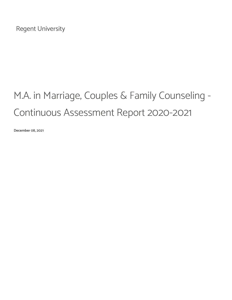Regent University

# M.A. in Marriage, Couples & Family Counseling - Continuous Assessment Report 2020-2021

December 08, 2021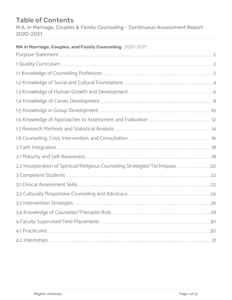## Table of Contents

M.A. in Marriage, Couples & Family Counseling - Continuous Assessment Report 2020-2021

### MA in Marriage, Couples, and Family Counseling 2020-2021

| Purpose Statement <b>Statement Statement Statement Construction Construction Construction C</b>                                                                                                                                     |  |
|-------------------------------------------------------------------------------------------------------------------------------------------------------------------------------------------------------------------------------------|--|
| 1 Quality Curriculum                                                                                                                                                                                                                |  |
|                                                                                                                                                                                                                                     |  |
|                                                                                                                                                                                                                                     |  |
| 1.3 Knowledge of Human Growth and Development (1999) 1.3 Knowledge of Human G                                                                                                                                                       |  |
|                                                                                                                                                                                                                                     |  |
|                                                                                                                                                                                                                                     |  |
| 1.6 Knowledge of Approaches to Assessment and Evaluation <b>Suppromotion</b> 12, 12                                                                                                                                                 |  |
| 1.7 Research Methods and Statistical Analysis <b>Analysis</b> 2008 12:00 12:00 14:00 14:00 14:00 14:00 14:00 14:00 14:00 14:00 14:00 14:00 14:00 14:00 14:00 14:00 14:00 14:00 14:00 14:00 14:00 14:00 15:00 16:00 16:00 16:00 16:0 |  |
|                                                                                                                                                                                                                                     |  |
|                                                                                                                                                                                                                                     |  |
| 2.1 Maturity and Self-Awareness <b>State and Self-Awareness</b> and the state of the state of the state of the state of the state of the state of the state of the state of the state of the state of the state of the state of the |  |
| 20. 2.2 Incorporation of Spiritual/Religious Counseling Strategies/Techniques                                                                                                                                                       |  |
| 3 Competent Students 3 22                                                                                                                                                                                                           |  |
| 3.1 Clinical Assessment Skills <b>Supposes Contains and Containers and Contains and Security 22</b>                                                                                                                                 |  |
| 3.2 Culturally Responsive Counseling and Advocacy <b>Manual Action Contains 194.</b> 24.                                                                                                                                            |  |
|                                                                                                                                                                                                                                     |  |
|                                                                                                                                                                                                                                     |  |
|                                                                                                                                                                                                                                     |  |
|                                                                                                                                                                                                                                     |  |
|                                                                                                                                                                                                                                     |  |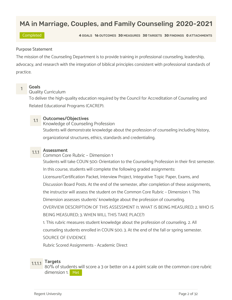## MA in Marriage, Couples, and Family Counseling 2020-2021

Completed 4 GOALS 16 OUTCOMES 30 MEASURES 30 TARGETS 30 FINDINGS 0 ATTACHMENTS

### Purpose Statement

The mission of the Counseling Department is to provide training in professional counseling, leadership, advocacy, and research with the integration of biblical principles consistent with professional standards of practice.

## <mark>1 Goals</mark><br>1 Quality Curriculum

To deliver the high-quality education required by the Council for Accreditation of Counseling and Related Educational Programs (CACREP).

1.1 Outcomes/Objectives<br>Knowledge of Counseling Profession

Students will demonstrate knowledge about the profession of counseling including history, organizational structures, ethics, standards and credentialing.

1.1.1 **Assessment**<br>Common Core Rubric – Dimension 1 Students will take COUN 500: Orientation to the Counseling Profession in their first semester. In this course, students will complete the following graded assignments: Licensure/Certification Packet, Interview Project, Integrative Topic Paper, Exams, and Discussion Board Posts. At the end of the semester, after completion of these assignments, the instructor will assess the student on the Common Core Rubric – Dimension 1. This Dimension assesses students' knowledge about the profession of counseling. OVERVIEW DESCRIPTION OF THIS ASSESSMENT (1. WHAT IS BEING MEASURED; 2. WHO IS BEING MEASURED; 3. WHEN WILL THIS TAKE PLACE?) 1. This rubric measures student knowledge about the profession of counseling. 2. All

counseling students enrolled in COUN 500. 3. At the end of the fall or spring semester.

SOURCE OF EVIDENCE

Rubric Scored Assignments - Academic Direct

1.1.1.1 Targets 80% of students will score a 3 or better on a 4 point scale on the common core rubric dimension 1. Met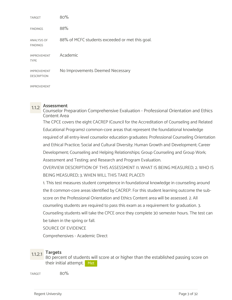| <b>TARGET</b>                            | 80%                                             |
|------------------------------------------|-------------------------------------------------|
| <b>FINDINGS</b>                          | 88%                                             |
| <b>ANALYSIS OF</b><br><b>FINDINGS</b>    | 88% of MCFC students exceeded or met this goal. |
| <b>IMPROVEMENT</b><br><b>TYPE</b>        | Academic                                        |
| <b>IMPROVEMENT</b><br><b>DESCRIPTION</b> | No Improvements Deemed Necessary                |
| <b>IMPROVEMENT</b>                       |                                                 |

1.1.2 Assessment Counselor Preparation Comprehensive Evaluation - Professional Orientation and Ethics Content Area

The CPCE covers the eight CACREP (Council for the Accreditation of Counseling and Related Educational Programs) common-core areas that represent the foundational knowledge required of all entry-level counselor education graduates: Professional Counseling Orientation and Ethical Practice; Social and Cultural Diversity; Human Growth and Development; Career Development; Counseling and Helping Relationships; Group Counseling and Group Work; Assessment and Testing; and Research and Program Evaluation.

OVERVIEW DESCRIPTION OF THIS ASSESSMENT (1. WHAT IS BEING MEASURED; 2. WHO IS BEING MEASURED; 3. WHEN WILL THIS TAKE PLACE?)

1. This test measures student competence in foundational knowledge in counseling around the 8 common-core areas identified by CACREP. For this student learning outcome the subscore on the Professional Orientation and Ethics Content area will be assessed. 2. All counseling students are required to pass this exam as a requirement for graduation. 3. Counseling students will take the CPCE once they complete 30 semester hours. The test can be taken in the spring or fall.

SOURCE OF EVIDENCE

Comprehensives - Academic Direct

1.1.2.1 Targets<br>80 percent of students will score at or higher than the established passing score on their initial attempt. Met

 $\mu_{\rm{R1}}$  and  $\mu_{\rm{S0}}$  and  $\mu_{\rm{S0}}$  and  $\mu_{\rm{S1}}$  and  $\mu_{\rm{S1}}$  and  $\mu_{\rm{S1}}$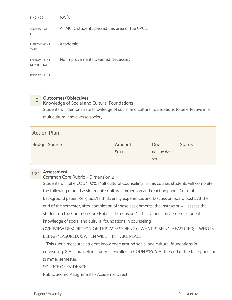| <b>FINDINGS</b>                          | 100%                                            |
|------------------------------------------|-------------------------------------------------|
| <b>ANALYSIS OF</b><br><b>FINDINGS</b>    | All MCFC students passed this area of the CPCE. |
| <b>IMPROVEMENT</b><br><b>TYPE</b>        | Academic                                        |
| <b>IMPROVEMENT</b><br><b>DESCRIPTION</b> | No Improvements Deemed Necessary                |
| <b>IMPROVEMENT</b>                       |                                                 |

1.2 Outcomes/Objectives<br>Knowledge of Social and Cultural Foundations Students will demonstrate knowledge of social and cultural foundations to be effective in a multicultural and diverse society.

| <b>Action Plan</b>   |                  |                    |               |  |
|----------------------|------------------|--------------------|---------------|--|
| <b>Budget Source</b> | Amount<br>\$0.00 | Due<br>no due date | <b>Status</b> |  |
|                      |                  | set                |               |  |

## 1.2.1 Assessment

### Common Core Rubric – Dimension 2

Students will take COUN 570: Multicultural Counseling. In this course, students will complete the following graded assignments: Cultural immersion and reaction paper, Cultural background paper, Religious/faith diversity experience, and Discussion board posts. At the end of the semester, after completion of these assignments, the instructor will assess the student on the Common Core Rubric – Dimension 2. This Dimension assesses students' knowledge of social and cultural foundations in counseling.

OVERVIEW DESCRIPTION OF THIS ASSESSMENT (1. WHAT IS BEING MEASURED; 2. WHO IS BEING MEASURED; 3. WHEN WILL THIS TAKE PLACE?)

1. This rubric measures student knowledge around social and cultural foundations in

counseling. 2. All counseling students enrolled in COUN 570. 3. At the end of the fall, spring, or summer semester.

SOURCE OF EVIDENCE

Rubric Scored Assignments - Academic Direct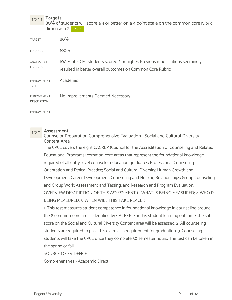1.2.1.1 Targets<br>80% of students will score a 3 or better on a 4 point scale on the common core rubric dimension 2. Met

| <b>TARGET</b>                            | 80%                                                                                                                                      |
|------------------------------------------|------------------------------------------------------------------------------------------------------------------------------------------|
| <b>FINDINGS</b>                          | 100%                                                                                                                                     |
| <b>ANALYSIS OF</b><br><b>FINDINGS</b>    | 100% of MCFC students scored 3 or higher. Previous modifications seemingly<br>resulted in better overall outcomes on Common Core Rubric. |
| <b>IMPROVEMENT</b><br><b>TYPE</b>        | Academic                                                                                                                                 |
| <b>IMPROVEMENT</b><br><b>DESCRIPTION</b> | No Improvements Deemed Necessary                                                                                                         |
| <b>IMPROVEMENT</b>                       |                                                                                                                                          |

1.2.2 Assessment Counselor Preparation Comprehensive Evaluation - Social and Cultural Diversity Content Area

The CPCE covers the eight CACREP (Council for the Accreditation of Counseling and Related Educational Programs) common-core areas that represent the foundational knowledge required of all entry-level counselor education graduates: Professional Counseling Orientation and Ethical Practice; Social and Cultural Diversity; Human Growth and Development; Career Development; Counseling and Helping Relationships; Group Counseling and Group Work; Assessment and Testing; and Research and Program Evaluation. OVERVIEW DESCRIPTION OF THIS ASSESSMENT (1. WHAT IS BEING MEASURED; 2. WHO IS BEING MEASURED; 3. WHEN WILL THIS TAKE PLACE?)

1. This test measures student competence in foundational knowledge in counseling around the 8 common-core areas identified by CACREP. For this student learning outcome, the subscore on the Social and Cultural Diversity Content area will be assessed. 2. All counseling students are required to pass this exam as a requirement for graduation. 3. Counseling students will take the CPCE once they complete 30 semester hours. The test can be taken in the spring or fall.

SOURCE OF EVIDENCE

Comprehensives - Academic Direct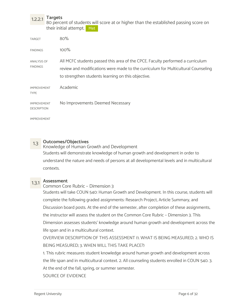1.2.2.1 Targets<br>80 percent of students will score at or higher than the established passing score on their initial attempt. Met

| <b>TARGET</b>                            | 80%                                                                                                                                                                                                                       |
|------------------------------------------|---------------------------------------------------------------------------------------------------------------------------------------------------------------------------------------------------------------------------|
| <b>FINDINGS</b>                          | 100%                                                                                                                                                                                                                      |
| ANALYSIS OF<br><b>FINDINGS</b>           | All MCFC students passed this area of the CPCE. Faculty performed a curriculum<br>review and modifications were made to the curriculum for Multicultural Counseling<br>to strengthen students learning on this objective. |
| <b>IMPROVEMENT</b><br><b>TYPE</b>        | Academic                                                                                                                                                                                                                  |
| <b>IMPROVEMENT</b><br><b>DESCRIPTION</b> | No Improvements Deemed Necessary                                                                                                                                                                                          |
| <b>IMPROVEMENT</b>                       |                                                                                                                                                                                                                           |

1.3 Outcomes/Objectives<br>Knowledge of Human Growth and Development Students will demonstrate knowledge of human growth and development in order to understand the nature and needs of persons at all developmental levels and in multicultural contexts.

## 1.3.1 Assessment

### Common Core Rubric – Dimension 3

Students will take COUN 540: Human Growth and Development. In this course, students will complete the following graded assignments: Research Project, Article Summary, and Discussion board posts. At the end of the semester, after completion of these assignments, the instructor will assess the student on the Common Core Rubric – Dimension 3. This Dimension assesses students' knowledge around human growth and development across the life span and in a multicultural context.

OVERVIEW DESCRIPTION OF THIS ASSESSMENT (1. WHAT IS BEING MEASURED; 2. WHO IS BEING MEASURED; 3. WHEN WILL THIS TAKE PLACE?)

1. This rubric measures student knowledge around human growth and development across the life span and in multicultural context. 2. All counseling students enrolled in COUN 540. 3. At the end of the fall, spring, or summer semester.

SOURCE OF EVIDENCE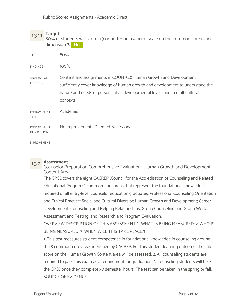1.3.1.1 Targets 80% of students will score a 3 or better on a 4 point scale on the common core rubric dimension 3. Met

| <b>TARGET</b>                            | 80%                                                                                                                                                                                                                                             |
|------------------------------------------|-------------------------------------------------------------------------------------------------------------------------------------------------------------------------------------------------------------------------------------------------|
| <b>FINDINGS</b>                          | 100%                                                                                                                                                                                                                                            |
| ANALYSIS OF<br><b>FINDINGS</b>           | Content and assignments in COUN 540 Human Growth and Development<br>sufficiently cover knowledge of human growth and development to understand the<br>nature and needs of persons at all developmental levels and in multicultural<br>contexts. |
| <b>IMPROVEMENT</b><br><b>TYPE</b>        | Academic                                                                                                                                                                                                                                        |
| <b>IMPROVEMENT</b><br><b>DESCRIPTION</b> | No Improvements Deemed Necessary                                                                                                                                                                                                                |
| <b>IMPROVEMENT</b>                       |                                                                                                                                                                                                                                                 |

1.3.2 Assessment Counselor Preparation Comprehensive Evaluation - Human Growth and Development Content Area

The CPCE covers the eight CACREP (Council for the Accreditation of Counseling and Related Educational Programs) common-core areas that represent the foundational knowledge required of all entry-level counselor education graduates: Professional Counseling Orientation and Ethical Practice; Social and Cultural Diversity; Human Growth and Development; Career Development; Counseling and Helping Relationships; Group Counseling and Group Work; Assessment and Testing; and Research and Program Evaluation.

OVERVIEW DESCRIPTION OF THIS ASSESSMENT (1. WHAT IS BEING MEASURED; 2. WHO IS BEING MEASURED; 3. WHEN WILL THIS TAKE PLACE?)

1. This test measures student competence in foundational knowledge in counseling around the 8 common-core areas identified by CACREP. For this student learning outcome, the subscore on the Human Growth Content area will be assessed. 2. All counseling students are required to pass this exam as a requirement for graduation. 3. Counseling students will take the CPCE once they complete 30 semester hours. The test can be taken in the spring or fall. SOURCE OF EVIDENCE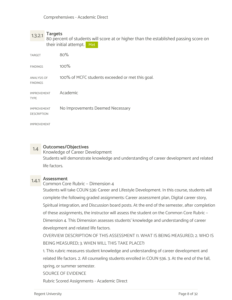1.3.2.1 Targets 80 percent of students will score at or higher than the established passing score on their initial attempt. Met

| <b>TARGET</b>                            | 80%                                              |
|------------------------------------------|--------------------------------------------------|
| <b>FINDINGS</b>                          | 100%                                             |
| <b>ANALYSIS OF</b><br><b>FINDINGS</b>    | 100% of MCFC students exceeded or met this goal. |
| <b>IMPROVEMENT</b><br><b>TYPE</b>        | Academic                                         |
| <b>IMPROVEMENT</b><br><b>DESCRIPTION</b> | No Improvements Deemed Necessary                 |
| <b>IMPROVEMENT</b>                       |                                                  |

1.4 **Outcomes/Objectives**<br>Knowledge of Career Development Students will demonstrate knowledge and understanding of career development and related life factors.

## 1.4.1 Assessment

Common Core Rubric – Dimension 4

Students will take COUN 536: Career and Lifestyle Development. In this course, students will complete the following graded assignments: Career assessment plan, Digital career story, Spiritual integration, and Discussion board posts. At the end of the semester, after completion of these assignments, the instructor will assess the student on the Common Core Rubric – Dimension 4. This Dimension assesses students' knowledge and understanding of career development and related life factors.

OVERVIEW DESCRIPTION OF THIS ASSESSMENT (1. WHAT IS BEING MEASURED; 2. WHO IS BEING MEASURED; 3. WHEN WILL THIS TAKE PLACE?)

1. This rubric measures student knowledge and understanding of career development and related life factors. 2. All counseling students enrolled in COUN 536. 3. At the end of the fall, spring, or summer semester.

SOURCE OF EVIDENCE

Rubric Scored Assignments - Academic Direct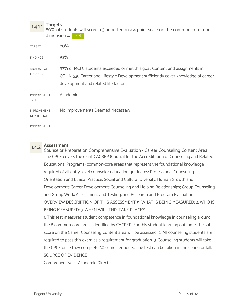1.4.1.1 Targets 80% of students will score a 3 or better on a 4 point scale on the common core rubric dimension 4. Met

| <b>TARGET</b>                            | 80%                                                                                                                                                                                                     |
|------------------------------------------|---------------------------------------------------------------------------------------------------------------------------------------------------------------------------------------------------------|
| <b>FINDINGS</b>                          | 93%                                                                                                                                                                                                     |
| ANALYSIS OF<br><b>FINDINGS</b>           | 93% of MCFC students exceeded or met this goal. Content and assignments in<br>COUN 536 Career and Lifestyle Development sufficiently cover knowledge of career<br>development and related life factors. |
| <b>IMPROVEMENT</b><br><b>TYPE</b>        | Academic                                                                                                                                                                                                |
| <b>IMPROVEMENT</b><br><b>DESCRIPTION</b> | No Improvements Deemed Necessary                                                                                                                                                                        |
| <b>IMPROVEMENT</b>                       |                                                                                                                                                                                                         |

1.4.2 Assessment Counselor Preparation Comprehensive Evaluation - Career Counseling Content Area The CPCE covers the eight CACREP (Council for the Accreditation of Counseling and Related Educational Programs) common-core areas that represent the foundational knowledge required of all entry-level counselor education graduates: Professional Counseling Orientation and Ethical Practice; Social and Cultural Diversity; Human Growth and Development; Career Development; Counseling and Helping Relationships; Group Counseling and Group Work; Assessment and Testing; and Research and Program Evaluation. OVERVIEW DESCRIPTION OF THIS ASSESSMENT (1. WHAT IS BEING MEASURED; 2. WHO IS BEING MEASURED; 3. WHEN WILL THIS TAKE PLACE?)

1. This test measures student competence in foundational knowledge in counseling around the 8 common-core areas identified by CACREP. For this student learning outcome, the subscore on the Career Counseling Content area will be assessed. 2. All counseling students are required to pass this exam as a requirement for graduation. 3. Counseling students will take the CPCE once they complete 30 semester hours. The test can be taken in the spring or fall. SOURCE OF EVIDENCE

Comprehensives - Academic Direct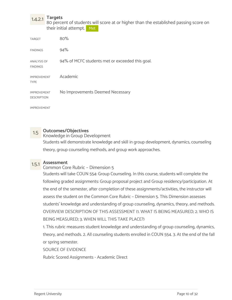1.4.2.1 Targets 80 percent of students will score at or higher than the established passing score on their initial attempt. Met

| <b>TARGET</b>                            | 80%                                             |
|------------------------------------------|-------------------------------------------------|
| <b>FINDINGS</b>                          | 94%                                             |
| <b>ANALYSIS OF</b><br><b>FINDINGS</b>    | 94% of MCFC students met or exceeded this goal. |
| <b>IMPROVEMENT</b><br><b>TYPE</b>        | Academic                                        |
| <b>IMPROVEMENT</b><br><b>DESCRIPTION</b> | No Improvements Deemed Necessary                |

IMPROVEMENT

1.5 Outcomes/Objectives<br>Knowledge in Group Development Students will demonstrate knowledge and skill in group development, dynamics, counseling theory, group counseling methods, and group work approaches.

1.5.1 Assessment Common Core Rubric – Dimension 5

Students will take COUN 554: Group Counseling. In this course, students will complete the following graded assignments: Group proposal project and Group residency/participation. At the end of the semester, after completion of these assignments/activities, the instructor will assess the student on the Common Core Rubric – Dimension 5. This Dimension assesses students' knowledge and understanding of group counseling, dynamics, theory, and methods. OVERVIEW DESCRIPTION OF THIS ASSESSMENT (1. WHAT IS BEING MEASURED; 2. WHO IS BEING MEASURED; 3. WHEN WILL THIS TAKE PLACE?)

1. This rubric measures student knowledge and understanding of group counseling, dynamics, theory, and methods. 2. All counseling students enrolled in COUN 554. 3. At the end of the fall or spring semester.

SOURCE OF EVIDENCE

Rubric Scored Assignments - Academic Direct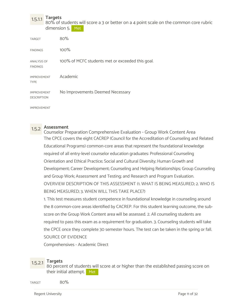1.5.1.1 Targets 80% of students will score a 3 or better on a 4 point scale on the common core rubric dimension 5. Met

| <b>TARGET</b>                            | 80%                                              |
|------------------------------------------|--------------------------------------------------|
| <b>FINDINGS</b>                          | 100%                                             |
| <b>ANALYSIS OF</b><br><b>FINDINGS</b>    | 100% of MCFC students met or exceeded this goal. |
| <b>IMPROVEMENT</b><br><b>TYPE</b>        | Academic                                         |
| <b>IMPROVEMENT</b><br><b>DESCRIPTION</b> | No Improvements Deemed Necessary                 |

IMPROVEMENT

1.5.2 Assessment Counselor Preparation Comprehensive Evaluation - Group Work Content Area The CPCE covers the eight CACREP (Council for the Accreditation of Counseling and Related Educational Programs) common-core areas that represent the foundational knowledge required of all entry-level counselor education graduates: Professional Counseling Orientation and Ethical Practice; Social and Cultural Diversity; Human Growth and Development; Career Development; Counseling and Helping Relationships; Group Counseling and Group Work; Assessment and Testing; and Research and Program Evaluation. OVERVIEW DESCRIPTION OF THIS ASSESSMENT (1. WHAT IS BEING MEASURED; 2. WHO IS BEING MEASURED; 3. WHEN WILL THIS TAKE PLACE?)

1. This test measures student competence in foundational knowledge in counseling around the 8 common-core areas identified by CACREP. For this student learning outcome, the subscore on the Group Work Content area will be assessed. 2. All counseling students are required to pass this exam as a requirement for graduation. 3. Counseling students will take the CPCE once they complete 30 semester hours. The test can be taken in the spring or fall. SOURCE OF EVIDENCE

Comprehensives - Academic Direct

1.5.2.1 Targets 80 percent of students will score at or higher than the established passing score on their initial attempt. Met

 $\frac{1}{80\%}$ 

Regent University **Page 11 of 32**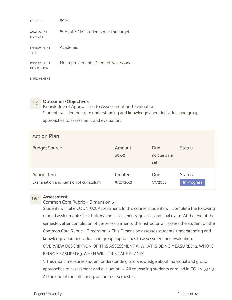| <b>FINDINGS</b>                          | 89%                                  |
|------------------------------------------|--------------------------------------|
| <b>ANALYSIS OF</b><br><b>FINDINGS</b>    | 89% of MCFC students met the target. |
| <b>IMPROVEMENT</b><br><b>TYPE</b>        | Academic                             |
| <b>IMPROVEMENT</b><br><b>DESCRIPTION</b> | No Improvements Deemed Necessary     |
| <b>IMPROVEMENT</b>                       |                                      |

1.6 **Outcomes/Objectives**<br>Knowledge of Approaches to Assessment and Evaluation Students will demonstrate understanding and knowledge about individual and group approaches to assessment and evaluation.

| <b>Action Plan</b>                                      |                      |                           |                              |
|---------------------------------------------------------|----------------------|---------------------------|------------------------------|
| <b>Budget Source</b>                                    | Amount<br>\$0.00     | Due<br>no due date<br>set | <b>Status</b>                |
| Action Item 1<br>Examination and Revision of curriculum | Created<br>9/27/2021 | Due<br>1/1/2022           | <b>Status</b><br>In Progress |

## 1.6.1 Assessment

Common Core Rubric – Dimension 6

Students will take COUN 532: Assessment. In this course, students will complete the following graded assignments: Test battery and assessments, quizzes, and final exam. At the end of the semester, after completion of these assignments, the instructor will assess the student on the Common Core Rubric – Dimension 6. This Dimension assesses students' understanding and knowledge about individual and group approaches to assessment and evaluation.

OVERVIEW DESCRIPTION OF THIS ASSESSMENT (1. WHAT IS BEING MEASURED; 2. WHO IS BEING MEASURED; 3. WHEN WILL THIS TAKE PLACE?)

1. This rubric measures student understanding and knowledge about individual and group approaches to assessment and evaluation. 2. All counseling students enrolled in COUN 532. 3. At the end of the fall, spring, or summer semester.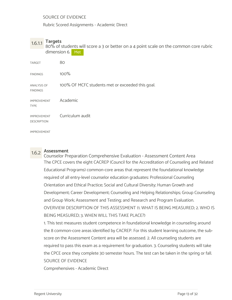SOURCE OF EVIDENCE

Rubric Scored Assignments - Academic Direct

1.6.1.1 Targets 80% of students will score a 3 or better on a 4 point scale on the common core rubric dimension 6. Met

| <b>TARGET</b>                            | 80                                               |
|------------------------------------------|--------------------------------------------------|
| <b>FINDINGS</b>                          | 100%                                             |
| <b>ANALYSIS OF</b><br><b>FINDINGS</b>    | 100% OF MCFC students met or exceeded this goal. |
| <b>IMPROVEMENT</b><br><b>TYPE</b>        | Academic                                         |
| <b>IMPROVEMENT</b><br><b>DESCRIPTION</b> | Curriculum audit                                 |
| <b>IMPROVEMENT</b>                       |                                                  |

1.6.2 Assessment Counselor Preparation Comprehensive Evaluation - Assessment Content Area The CPCE covers the eight CACREP (Council for the Accreditation of Counseling and Related Educational Programs) common-core areas that represent the foundational knowledge required of all entry-level counselor education graduates: Professional Counseling Orientation and Ethical Practice; Social and Cultural Diversity; Human Growth and Development; Career Development; Counseling and Helping Relationships; Group Counseling and Group Work; Assessment and Testing; and Research and Program Evaluation. OVERVIEW DESCRIPTION OF THIS ASSESSMENT (1. WHAT IS BEING MEASURED; 2. WHO IS BEING MEASURED; 3. WHEN WILL THIS TAKE PLACE?)

1. This test measures student competence in foundational knowledge in counseling around the 8 common-core areas identified by CACREP. For this student learning outcome, the subscore on the Assessment Content area will be assessed. 2. All counseling students are required to pass this exam as a requirement for graduation. 3. Counseling students will take the CPCE once they complete 30 semester hours. The test can be taken in the spring or fall. SOURCE OF EVIDENCE

Comprehensives - Academic Direct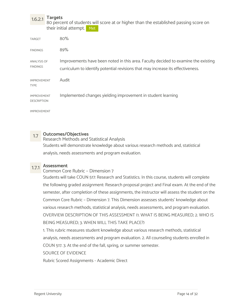1.6.2.1 Targets 80 percent of students will score at or higher than the established passing score on their initial attempt. Met

| <b>TARGET</b>                            | 80%                                                                                                                                                                   |
|------------------------------------------|-----------------------------------------------------------------------------------------------------------------------------------------------------------------------|
| <b>FINDINGS</b>                          | 89%                                                                                                                                                                   |
| ANALYSIS OF<br><b>FINDINGS</b>           | Improvements have been noted in this area. Faculty decided to examine the existing<br>curriculum to identify potential revisions that may increase its effectiveness. |
| <b>IMPROVEMENT</b><br><b>TYPE</b>        | Audit                                                                                                                                                                 |
| <b>IMPROVEMENT</b><br><b>DESCRIPTION</b> | Implemented changes yielding improvement in student learning                                                                                                          |
| <b>IMPROVEMENT</b>                       |                                                                                                                                                                       |

1.7 Outcomes/Objectives Research Methods and Statistical Analysis Students will demonstrate knowledge about various research methods and, statistical analysis, needs assessments and program evaluation.

1.7.1 Assessment Common Core Rubric – Dimension 7

Students will take COUN 517: Research and Statistics. In this course, students will complete the following graded assignment: Research proposal project and Final exam. At the end of the semester, after completion of these assignments, the instructor will assess the student on the Common Core Rubric – Dimension 7. This Dimension assesses students' knowledge about various research methods, statistical analysis, needs assessments, and program evaluation. OVERVIEW DESCRIPTION OF THIS ASSESSMENT (1. WHAT IS BEING MEASURED; 2. WHO IS BEING MEASURED; 3. WHEN WILL THIS TAKE PLACE?)

1. This rubric measures student knowledge about various research methods, statistical analysis, needs assessments and program evaluation. 2. All counseling students enrolled in COUN 517. 3. At the end of the fall, spring, or summer semester.

SOURCE OF EVIDENCE

Rubric Scored Assignments - Academic Direct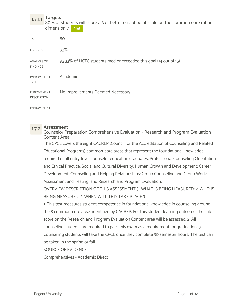1.7.1.1 Targets<br>80% of students will score a 3 or better on a 4 point scale on the common core rubric dimension 7. Met

| <b>TARGET</b>                            | 80                                                                |
|------------------------------------------|-------------------------------------------------------------------|
| <b>FINDINGS</b>                          | 93%                                                               |
| <b>ANALYSIS OF</b><br><b>FINDINGS</b>    | 93.33% of MCFC students med or exceeded this goal (14 out of 15). |
| <b>IMPROVEMENT</b><br><b>TYPE</b>        | Academic                                                          |
| <b>IMPROVEMENT</b><br><b>DESCRIPTION</b> | No Improvements Deemed Necessary                                  |
| <b>IMPROVEMENT</b>                       |                                                                   |

1.7.2 Assessment Counselor Preparation Comprehensive Evaluation - Research and Program Evaluation Content Area

The CPCE covers the eight CACREP (Council for the Accreditation of Counseling and Related Educational Programs) common-core areas that represent the foundational knowledge required of all entry-level counselor education graduates: Professional Counseling Orientation and Ethical Practice; Social and Cultural Diversity; Human Growth and Development; Career Development; Counseling and Helping Relationships; Group Counseling and Group Work; Assessment and Testing; and Research and Program Evaluation.

OVERVIEW DESCRIPTION OF THIS ASSESSMENT (1. WHAT IS BEING MEASURED; 2. WHO IS BEING MEASURED; 3. WHEN WILL THIS TAKE PLACE?)

1. This test measures student competence in foundational knowledge in counseling around the 8 common-core areas identified by CACREP. For this student learning outcome, the subscore on the Research and Program Evaluation Content area will be assessed. 2. All counseling students are required to pass this exam as a requirement for graduation. 3. Counseling students will take the CPCE once they complete 30 semester hours. The test can be taken in the spring or fall.

SOURCE OF EVIDENCE

Comprehensives - Academic Direct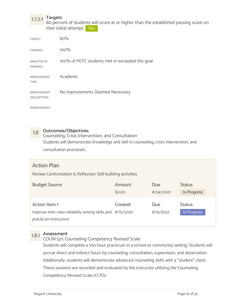1.7.2.1 Targets<br>80 percent of students will score at or higher than the established passing score on their initial attempt. Met

| <b>TARGET</b>                            | 80%                                              |
|------------------------------------------|--------------------------------------------------|
| <b>FINDINGS</b>                          | 100%                                             |
| <b>ANALYSIS OF</b><br><b>FINDINGS</b>    | 100% of MCFC students met or exceeded this goal. |
| <b>IMPROVEMENT</b><br><b>TYPE</b>        | Academic                                         |
| <b>IMPROVEMENT</b><br><b>DESCRIPTION</b> | No Improvements Deemed Necessary                 |

IMPROVEMENT

1.8 Outcomes/Objectives<br>Counseling, Crisis Intervention, and Consultation Students will demonstrate knowledge and skill in counseling, crisis intervention, and consultation processes.

### Action Plan

Review Confrontation & Reflection Skill building activities

| <b>Budget Source</b>                                       | Amount  | <b>Due</b> | <b>Status</b> |
|------------------------------------------------------------|---------|------------|---------------|
|                                                            | \$0.00  | 8/24/2020  | In Progress   |
| Action Item 1                                              | Created | Due        | <b>Status</b> |
| Improve inter-rater reliability among skills and 8/15/2020 |         | 8/15/2022  | In Progress   |
|                                                            |         |            |               |

1.8.1 Assessment COUN 521: Counseling Competency Revised Scale

Students will complete a 100-hour practicum in a school or community setting. Students will accrue direct and indirect hours by counseling, consultation, supervision, and observation. Additionally, students will demonstrate advanced counseling skills with a "student" client. These sessions are recorded and evaluated by the instructor utilizing the Counseling Competency Revised Scale (CCRS).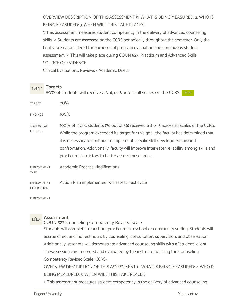OVERVIEW DESCRIPTION OF THIS ASSESSMENT (1. WHAT IS BEING MEASURED; 2. WHO IS BEING MEASURED; 3. WHEN WILL THIS TAKE PLACE?)

1. This assessment measures student competency in the delivery of advanced counseling skills. 2. Students are assessed on the CCRS periodically throughout the semester. Only the final score is considered for purposes of program evaluation and continuous student assessment. 3. This will take place during COUN 523: Practicum and Advanced Skills. SOURCE OF EVIDENCE

Clinical Evaluations, Reviews - Academic Direct

 $1.8.1.1$  Targets<br> $1.8.1.1$   $8.8\%$  of students will resolve a 3.4 or 5 across all so 80% of students will receive a 3, 4, or 5 across all scales on the CCRS. Met

| <b>TARGET</b>                            | 80%                                                                                                                                                                                                                                                                                                                                                                                                              |
|------------------------------------------|------------------------------------------------------------------------------------------------------------------------------------------------------------------------------------------------------------------------------------------------------------------------------------------------------------------------------------------------------------------------------------------------------------------|
| <b>FINDINGS</b>                          | 100%                                                                                                                                                                                                                                                                                                                                                                                                             |
| <b>ANALYSIS OF</b><br><b>FINDINGS</b>    | 100% of MCFC students (36 out of 36) received a 4 or 5 across all scales of the CCRS.<br>While the program exceeded its target for this goal, the faculty has determined that<br>it is necessary to continue to implement specific skill development around<br>confrontation. Additionally, faculty will improve inter-rater reliability among skills and<br>practicum instructors to better assess these areas. |
| <b>IMPROVEMENT</b><br><b>TYPE</b>        | <b>Academic Process Modifications</b>                                                                                                                                                                                                                                                                                                                                                                            |
| <b>IMPROVEMENT</b><br><b>DESCRIPTION</b> | Action Plan implemented; will assess next cycle                                                                                                                                                                                                                                                                                                                                                                  |
| <b>IMPROVEMENT</b>                       |                                                                                                                                                                                                                                                                                                                                                                                                                  |

1.8.2 Assessment COUN 523: Counseling Competency Revised Scale Students will complete a 100-hour practicum in a school or community setting. Students will accrue direct and indirect hours by counseling, consultation, supervision, and observation. Additionally, students will demonstrate advanced counseling skills with a "student" client. These sessions are recorded and evaluated by the instructor utilizing the Counseling Competency Revised Scale (CCRS). OVERVIEW DESCRIPTION OF THIS ASSESSMENT (1. WHAT IS BEING MEASURED; 2. WHO IS BEING MEASURED; 3. WHEN WILL THIS TAKE PLACE?)

1. This assessment measures student competency in the delivery of advanced counseling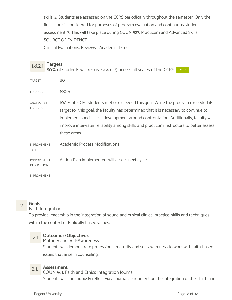skills. 2. Students are assessed on the CCRS periodically throughout the semester. Only the final score is considered for purposes of program evaluation and continuous student assessment. 3. This will take place during COUN 523: Practicum and Advanced Skills. SOURCE OF EVIDENCE

Clinical Evaluations, Reviews - Academic Direct

| 1.8.2.1                                  | <b>Targets</b> | 80% of students will receive a 4 or 5 across all scales of the CCRS.<br>Met                                                                                                                                                                                                                                                                                                 |
|------------------------------------------|----------------|-----------------------------------------------------------------------------------------------------------------------------------------------------------------------------------------------------------------------------------------------------------------------------------------------------------------------------------------------------------------------------|
| <b>TARGET</b>                            |                | 80                                                                                                                                                                                                                                                                                                                                                                          |
| <b>FINDINGS</b>                          |                | 100%                                                                                                                                                                                                                                                                                                                                                                        |
| <b>ANALYSIS OF</b><br><b>FINDINGS</b>    |                | 100% of MCFC students met or exceeded this goal. While the program exceeded its<br>target for this goal, the faculty has determined that it is necessary to continue to<br>implement specific skill development around confrontation. Additionally, faculty will<br>improve inter-rater reliability among skills and practicum instructors to better assess<br>these areas. |
| <b>IMPROVEMENT</b><br><b>TYPE</b>        |                | <b>Academic Process Modifications</b>                                                                                                                                                                                                                                                                                                                                       |
| <b>IMPROVEMENT</b><br><b>DESCRIPTION</b> |                | Action Plan implemented; will assess next cycle                                                                                                                                                                                                                                                                                                                             |
| <b>IMPROVEMENT</b>                       |                |                                                                                                                                                                                                                                                                                                                                                                             |



### 2 Goals<br>Paith Integration Faith Integration

To provide leadership in the integration of sound and ethical clinical practice, skills and techniques within the context of Biblically based values.

### 2.1 Outcomes/Objectives

**Maturity and Self-Awareness** Students will demonstrate professional maturity and self-awareness to work with faith-based issues that arise in counseling.

2.1.1 **Assessment**<br>COUN 561: Faith and Ethics Integration Journal Students will continuously reflect via a journal assignment on the integration of their faith and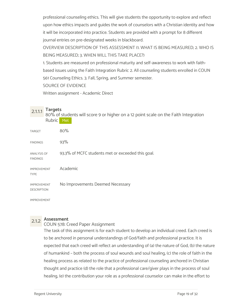professional counseling ethics. This will give students the opportunity to explore and reflect upon how ethics impacts and guides the work of counselors with a Christian identity and how it will be incorporated into practice. Students are provided with a prompt for 8 different journal entries on pre-designated weeks in blackboard.

OVERVIEW DESCRIPTION OF THIS ASSESSMENT (1. WHAT IS BEING MEASURED; 2. WHO IS BEING MEASURED; 3. WHEN WILL THIS TAKE PLACE?)

1. Students are measured on professional maturity and self-awareness to work with faithbased issues using the Faith Integration Rubric 2. All counseling students enrolled in COUN 561 Counseling Ethics. 3. Fall, Spring, and Summer semester.

SOURCE OF EVIDENCE

Written assignment - Academic Direct

2.1.1.1 Targets<br>80% of students will score 9 or higher on a 12 point scale on the Faith Integration Rubric Met

| <b>TARGET</b>                            | 80%                                               |
|------------------------------------------|---------------------------------------------------|
| <b>FINDINGS</b>                          | 93%                                               |
| <b>ANALYSIS OF</b><br><b>FINDINGS</b>    | 93.3% of MCFC students met or exceeded this goal. |
| <b>IMPROVEMENT</b><br><b>TYPE</b>        | Academic                                          |
| <b>IMPROVEMENT</b><br><b>DESCRIPTION</b> | No Improvements Deemed Necessary                  |

IMPROVEMENT

## 2.1.2 Assessment

### COUN 578: Creed Paper Assignment

The task of this assignment is for each student to develop an individual creed. Each creed is to be anchored in personal understandings of God/faith and professional practice. It is expected that each creed will reflect an understanding of (a) the nature of God, (b) the nature of humankind – both the process of soul wounds and soul healing, (c) the role of faith in the healing process as related to the practice of professional counseling anchored in Christian thought and practice (d) the role that a professional care/giver plays in the process of soul healing, (e) the contribution your role as a professional counselor can make in the effort to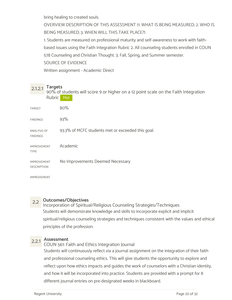bring healing to created souls.

OVERVIEW DESCRIPTION OF THIS ASSESSMENT (1. WHAT IS BEING MEASURED; 2. WHO IS BEING MEASURED; 3. WHEN WILL THIS TAKE PLACE?)

1. Students are measured on professional maturity and self-awareness to work with faithbased issues using the Faith Integration Rubric 2. All counseling students enrolled in COUN 578 Counseling and Christian Thought. 3. Fall, Spring, and Summer semester. SOURCE OF EVIDENCE

Written assignment - Academic Direct

2.1.2.1 Targets 90% of students will score 9 or higher on a 12 point scale on the Faith Integration Rubric Met

| <b>TARGET</b>                            | 80%                                               |
|------------------------------------------|---------------------------------------------------|
| <b>FINDINGS</b>                          | 93%                                               |
| <b>ANALYSIS OF</b><br><b>FINDINGS</b>    | 93.3% of MCFC students met or exceeded this goal. |
| <b>IMPROVEMENT</b><br><b>TYPE</b>        | Academic                                          |
| <b>IMPROVEMENT</b><br><b>DESCRIPTION</b> | No Improvements Deemed Necessary                  |

IMPROVEMENT

### 2.2 Outcomes/Objectives

Incorporation of Spiritual/Religious Counseling Strategies/Techniques Students will demonstrate knowledge and skills to incorporate explicit and implicit spiritual/religious counseling strategies and techniques consistent with the values and ethical principles of the profession.

2.2.1 **Assessment**<br>COUN 561: Faith and Ethics Integration Journal Students will continuously reflect via a journal assignment on the integration of their faith and professional counseling ethics. This will give students the opportunity to explore and reflect upon how ethics impacts and guides the work of counselors with a Christian identity, and how it will be incorporated into practice. Students are provided with a prompt for 8 different journal entries on pre-designated weeks in blackboard.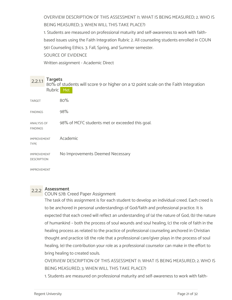OVERVIEW DESCRIPTION OF THIS ASSESSMENT (1. WHAT IS BEING MEASURED; 2. WHO IS BEING MEASURED; 3. WHEN WILL THIS TAKE PLACE?)

1. Students are measured on professional maturity and self-awareness to work with faithbased issues using the Faith Integration Rubric 2. All counseling students enrolled in COUN 561 Counseling Ethics. 3. Fall, Spring, and Summer semester.

SOURCE OF EVIDENCE

Written assignment - Academic Direct

2.2.1.1 Targets<br>80% of students will score 9 or higher on a 12 point scale on the Faith Integration Rubric Met

| <b>TARGET</b>                            | 80%                                             |
|------------------------------------------|-------------------------------------------------|
| <b>FINDINGS</b>                          | 98%                                             |
| <b>ANALYSIS OF</b><br><b>FINDINGS</b>    | 98% of MCFC students met or exceeded this goal. |
| <b>IMPROVEMENT</b><br><b>TYPE</b>        | Academic                                        |
| <b>IMPROVEMENT</b><br><b>DESCRIPTION</b> | No Improvements Deemed Necessary                |

IMPROVEMENT

## 2.2.2 Assessment

COUN 578: Creed Paper Assignment

The task of this assignment is for each student to develop an individual creed. Each creed is to be anchored in personal understandings of God/faith and professional practice. It is expected that each creed will reflect an understanding of (a) the nature of God, (b) the nature of humankind – both the process of soul wounds and soul healing, (c) the role of faith in the healing process as related to the practice of professional counseling anchored in Christian thought and practice (d) the role that a professional care/giver plays in the process of soul healing, (e) the contribution your role as a professional counselor can make in the effort to bring healing to created souls.

OVERVIEW DESCRIPTION OF THIS ASSESSMENT (1. WHAT IS BEING MEASURED; 2. WHO IS BEING MEASURED; 3. WHEN WILL THIS TAKE PLACE?)

1. Students are measured on professional maturity and self-awareness to work with faith-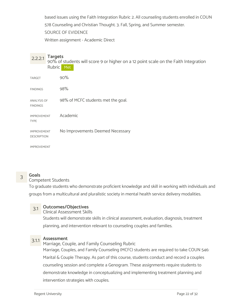based issues using the Faith Integration Rubric 2. All counseling students enrolled in COUN 578 Counseling and Christian Thought. 3. Fall, Spring, and Summer semester. SOURCE OF EVIDENCE

### Written assignment - Academic Direct

### 2.2.2.1 Targets<br>90% of students will score 9 or higher on a 12 point scale on the Faith Integration Rubric Met

| <b>TARGET</b>                            | 90%                                |
|------------------------------------------|------------------------------------|
| <b>FINDINGS</b>                          | 98%                                |
| <b>ANALYSIS OF</b><br><b>FINDINGS</b>    | 98% of MCFC students met the goal. |
| <b>IMPROVEMENT</b><br><b>TYPE</b>        | Academic                           |
| <b>IMPROVEMENT</b><br><b>DESCRIPTION</b> | No Improvements Deemed Necessary   |

IMPROVEMENT

## 3 Goals<br>
Sompetent Students

To graduate students who demonstrate proficient knowledge and skill in working with individuals and groups from a multicultural and pluralistic society in mental health service delivery modalities.

### 3.1 Outcomes/Objectives

Clinical Assessment Skills

Students will demonstrate skills in clinical assessment, evaluation, diagnosis, treatment planning, and intervention relevant to counseling couples and families.

3.1.1 Assessment Marriage, Couple, and Family Counseling Rubric Marriage, Couples, and Family Counseling (MCFC) students are required to take COUN 546: Marital & Couple Therapy. As part of this course, students conduct and record a couples counseling session and complete a Genogram. These assignments require students to demonstrate knowledge in conceptualizing and implementing treatment planning and intervention strategies with couples.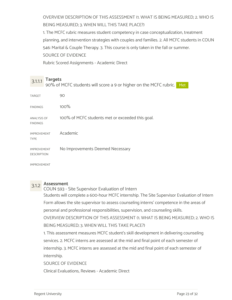OVERVIEW DESCRIPTION OF THIS ASSESSMENT (1. WHAT IS BEING MEASURED; 2. WHO IS BEING MEASURED; 3. WHEN WILL THIS TAKE PLACE?)

1. The MCFC rubric measures student competency in case conceptualization, treatment planning, and intervention strategies with couples and families. 2. All MCFC students in COUN 546: Marital & Couple Therapy. 3. This course is only taken in the fall or summer. SOURCE OF EVIDENCE

Rubric Scored Assignments - Academic Direct

 $3.1.1.1$  Targets<br> $3.1.1.1$  Targets<br> $3.1.1.1$  Targets 90% of MCFC students will score a 9 or higher on the MCFC rubric. Met the state of  $\sim$ 

| <b>TARGET</b>                            | 90                                               |
|------------------------------------------|--------------------------------------------------|
| <b>FINDINGS</b>                          | 100%                                             |
| <b>ANALYSIS OF</b><br><b>FINDINGS</b>    | 100% of MCFC students met or exceeded this goal. |
| <b>IMPROVEMENT</b><br><b>TYPE</b>        | Academic                                         |
| <b>IMPROVEMENT</b><br><b>DESCRIPTION</b> | No Improvements Deemed Necessary                 |

IMPROVEMENT

3.1.2 Assessment COUN 593 - Site Supervisor Evaluation of Intern Students will complete a 600-hour MCFC internship. The Site Supervisor Evaluation of Intern Form allows the site supervisor to assess counseling interns' competence in the areas of personal and professional responsibilities, supervision, and counseling skills. OVERVIEW DESCRIPTION OF THIS ASSESSMENT (1. WHAT IS BEING MEASURED; 2. WHO IS BEING MEASURED; 3. WHEN WILL THIS TAKE PLACE?)

1. This assessment measures MCFC student's skill development in delivering counseling services. 2. MCFC interns are assessed at the mid and final point of each semester of internship. 3. MCFC interns are assessed at the mid and final point of each semester of internship.

SOURCE OF EVIDENCE

Clinical Evaluations, Reviews - Academic Direct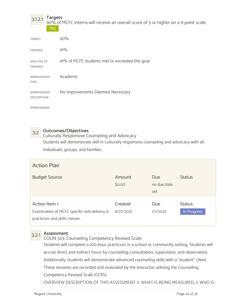3.1.2.1 Targets<br>90% of MCFC interns will receive an overall score of 5 or higher on a 9-point scale. Met

| <b>TARGET</b>                            | 90%                                             |
|------------------------------------------|-------------------------------------------------|
| <b>FINDINGS</b>                          | 91%                                             |
| <b>ANALYSIS OF</b><br><b>FINDINGS</b>    | 91% of MCFC students met or exceeded this goal. |
| <b>IMPROVEMENT</b><br><b>TYPE</b>        | Academic                                        |
| <b>IMPROVEMENT</b><br><b>DESCRIPTION</b> | No Improvements Deemed Necessary                |

IMPROVEMENT

3.2 Outcomes/Objectives<br>Culturally Responsive Counseling and Advocacy Students will demonstrate skill in culturally responsive counseling and advocacy with all individuals, groups, and families.

| <b>Action Plan</b>                                                                               |                      |                           |                              |
|--------------------------------------------------------------------------------------------------|----------------------|---------------------------|------------------------------|
| <b>Budget Source</b>                                                                             | Amount<br>\$0.00     | Due<br>no due date<br>set | <b>Status</b>                |
| Action Item 1<br>Examination of MCFC specific skill delivery in<br>practicum and skills classes. | Created<br>9/27/2021 | Due<br>1/1/2022           | <b>Status</b><br>In Progress |

3.2.1 Assessment COUN 523: Counseling Competency Revised Scale

Students will complete a 100-hour practicum in a school or community setting. Students will accrue direct and indirect hours by counseling, consultation, supervision, and observation. Additionally, students will demonstrate advanced counseling skills with a "student" client. These sessions are recorded and evaluated by the instructor utilizing the Counseling Competency Revised Scale (CCRS).

OVERVIEW DESCRIPTION OF THIS ASSESSMENT (1. WHAT IS BEING MEASURED; 2. WHO IS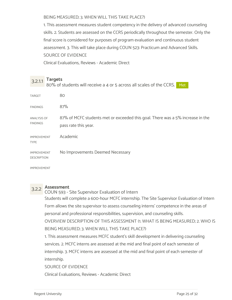BEING MEASURED; 3. WHEN WILL THIS TAKE PLACE?)

1. This assessment measures student competency in the delivery of advanced counseling skills. 2. Students are assessed on the CCRS periodically throughout the semester. Only the final score is considered for purposes of program evaluation and continuous student assessment. 3. This will take place during COUN 523: Practicum and Advanced Skills. SOURCE OF EVIDENCE Clinical Evaluations, Reviews - Academic Direct

3.2.1.1 Targets<br>3.2.1.1 Ro<sup>o</sup>/ of students will resolve a 4 at F assess all scale 80% of students will receive a 4 or 5 across all scales of the CCRS. Met

| <b>TARGET</b>                            | 80                                                                                                     |
|------------------------------------------|--------------------------------------------------------------------------------------------------------|
| <b>FINDINGS</b>                          | 87%                                                                                                    |
| ANALYSIS OF<br><b>FINDINGS</b>           | 87% of MCFC students met or exceeded this goal. There was a 5% increase in the<br>pass rate this year. |
| <b>IMPROVEMENT</b><br><b>TYPE</b>        | Academic                                                                                               |
| <b>IMPROVEMENT</b><br><b>DESCRIPTION</b> | No Improvements Deemed Necessary                                                                       |
| <b>IMPROVEMENT</b>                       |                                                                                                        |

3.2.2 Assessment COUN 593 - Site Supervisor Evaluation of Intern Students will complete a 600-hour MCFC internship. The Site Supervisor Evaluation of Intern Form allows the site supervisor to assess counseling interns' competence in the areas of personal and professional responsibilities, supervision, and counseling skills. OVERVIEW DESCRIPTION OF THIS ASSESSMENT (1. WHAT IS BEING MEASURED; 2. WHO IS BEING MEASURED; 3. WHEN WILL THIS TAKE PLACE?) 1. This assessment measures MCFC student's skill development in delivering counseling services. 2. MCFC interns are assessed at the mid and final point of each semester of internship. 3. MCFC interns are assessed at the mid and final point of each semester of internship. SOURCE OF EVIDENCE Clinical Evaluations, Reviews - Academic Direct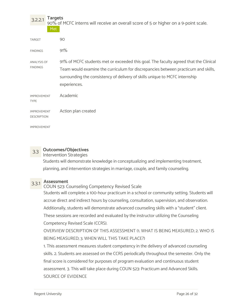3.2.2.1 Targets<br>90% of MCFC interns will receive an overall score of 5 or higher on a 9-point scale.

| Met                                      |                                                                                                                                                                                                                                                                          |
|------------------------------------------|--------------------------------------------------------------------------------------------------------------------------------------------------------------------------------------------------------------------------------------------------------------------------|
| <b>TARGET</b>                            | 90                                                                                                                                                                                                                                                                       |
| <b>FINDINGS</b>                          | 91%                                                                                                                                                                                                                                                                      |
| ANALYSIS OF<br><b>FINDINGS</b>           | 91% of MCFC students met or exceeded this goal. The faculty agreed that the Clinical<br>Team would examine the curriculum for discrepancies between practicum and skills,<br>surrounding the consistency of delivery of skills unique to MCFC internship<br>experiences. |
| <b>IMPROVEMENT</b><br><b>TYPE</b>        | Academic                                                                                                                                                                                                                                                                 |
| <b>IMPROVEMENT</b><br><b>DESCRIPTION</b> | Action plan created                                                                                                                                                                                                                                                      |
| <b>IMPROVEMENT</b>                       |                                                                                                                                                                                                                                                                          |

### 3.3 Outcomes/Objectives

### Intervention Strategies

Students will demonstrate knowledge in conceptualizing and implementing treatment, planning, and intervention strategies in marriage, couple, and family counseling.

3.3.1 Assessment COUN 523: Counseling Competency Revised Scale

Students will complete a 100-hour practicum in a school or community setting. Students will accrue direct and indirect hours by counseling, consultation, supervision, and observation. Additionally, students will demonstrate advanced counseling skills with a "student" client. These sessions are recorded and evaluated by the instructor utilizing the Counseling Competency Revised Scale (CCRS).

OVERVIEW DESCRIPTION OF THIS ASSESSMENT (1. WHAT IS BEING MEASURED; 2. WHO IS BEING MEASURED; 3. WHEN WILL THIS TAKE PLACE?)

1. This assessment measures student competency in the delivery of advanced counseling skills. 2. Students are assessed on the CCRS periodically throughout the semester. Only the final score is considered for purposes of program evaluation and continuous student assessment. 3. This will take place during COUN 523: Practicum and Advanced Skills. SOURCE OF EVIDENCE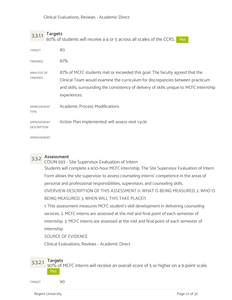3.3.1.1 Targets<br>3.3.1.1 Ro<sup>o</sup>/ of students will resolve a 4 at F astess all scale 80% of students will receive a 4 or 5 across all scales of the CCRS. Met

| <b>TARGET</b>                            | 80                                                                                      |
|------------------------------------------|-----------------------------------------------------------------------------------------|
| <b>FINDINGS</b>                          | 87%                                                                                     |
| ANALYSIS OF<br><b>FINDINGS</b>           | 87% of MCFC students met or exceeded this goal. The faculty agreed that the             |
|                                          | Clinical Team would examine the curriculum for discrepancies between practicum          |
|                                          | and skills, surrounding the consistency of delivery of skills unique to MCFC internship |
|                                          | experiences.                                                                            |
| <b>IMPROVEMENT</b><br><b>TYPE</b>        | <b>Academic Process Modifications</b>                                                   |
| <b>IMPROVEMENT</b><br><b>DESCRIPTION</b> | Action Plan implemented; will assess next cycle                                         |
| <b>IMPROVEMENT</b>                       |                                                                                         |

3.3.2 Assessment COUN 593 - Site Supervisor Evaluation of Intern Students will complete a 600-hour MCFC internship. The Site Supervisor Evaluation of Intern Form allows the site supervisor to assess counseling interns' competence in the areas of personal and professional responsibilities, supervision, and counseling skills. OVERVIEW DESCRIPTION OF THIS ASSESSMENT (1. WHAT IS BEING MEASURED; 2. WHO IS BEING MEASURED; 3. WHEN WILL THIS TAKE PLACE?)

1. This assessment measures MCFC student's skill development in delivering counseling services. 2. MCFC interns are assessed at the mid and final point of each semester of internship. 3. MCFC interns are assessed at the mid and final point of each semester of internship.

SOURCE OF EVIDENCE

Clinical Evaluations, Reviews - Academic Direct

3.3.2.1 Targets<br>90% of MCFC interns will receive an overall score of 5 or higher on a 9-point scale. Met

TARGET 90 and 200 and 200 and 200 and 200 and 200 and 200 and 200 and 200 and 200 and 200 and 200 and 200 and 200 and 200 and 200 and 200 and 200 and 200 and 200 and 200 and 200 and 200 and 200 and 200 and 200 and 200 and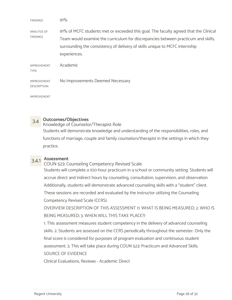| <b>FINDINGS</b>                          | 91%                                                                                  |
|------------------------------------------|--------------------------------------------------------------------------------------|
| ANALYSIS OF<br><b>FINDINGS</b>           | 91% of MCFC students met or exceeded this goal. The faculty agreed that the Clinical |
|                                          | Team would examine the curriculum for discrepancies between practicum and skills,    |
|                                          | surrounding the consistency of delivery of skills unique to MCFC internship          |
|                                          | experiences.                                                                         |
| <b>IMPROVEMENT</b><br><b>TYPE</b>        | Academic                                                                             |
| <b>IMPROVEMENT</b><br><b>DESCRIPTION</b> | No Improvements Deemed Necessary                                                     |
| <b>IMPROVEMENT</b>                       |                                                                                      |

## 3.4 Outcomes/Objectives

Knowledge of Counselor/Therapist Role

Students will demonstrate knowledge and understanding of the responsibilities, roles, and functions of marriage, couple and family counselors/therapist in the settings in which they practice.

3.4.1 Assessment COUN 523: Counseling Competency Revised Scale Students will complete a 100-hour practicum in a school or community setting. Students will accrue direct and indirect hours by counseling, consultation, supervision, and observation. Additionally, students will demonstrate advanced counseling skills with a "student" client. These sessions are recorded and evaluated by the instructor utilizing the Counseling Competency Revised Scale (CCRS).

OVERVIEW DESCRIPTION OF THIS ASSESSMENT (1. WHAT IS BEING MEASURED; 2. WHO IS BEING MEASURED; 3. WHEN WILL THIS TAKE PLACE?)

1. This assessment measures student competency in the delivery of advanced counseling skills. 2. Students are assessed on the CCRS periodically throughout the semester. Only the final score is considered for purposes of program evaluation and continuous student assessment. 3. This will take place during COUN 523: Practicum and Advanced Skills. SOURCE OF EVIDENCE

Clinical Evaluations, Reviews - Academic Direct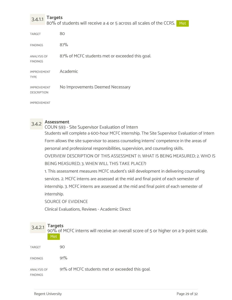$3.4.1.1$  Targets<br> $3.4.1.1$  Targets 80% of students will receive a 4 or 5 across all scales of the CCRS. Met

| <b>TARGET</b>                            | 80                                              |
|------------------------------------------|-------------------------------------------------|
| <b>FINDINGS</b>                          | 87%                                             |
| <b>ANALYSIS OF</b><br><b>FINDINGS</b>    | 87% of MCFC students met or exceeded this goal. |
| <b>IMPROVEMENT</b><br><b>TYPE</b>        | Academic                                        |
| <b>IMPROVEMENT</b><br><b>DESCRIPTION</b> | No Improvements Deemed Necessary                |

IMPROVEMENT



3.4.2 Assessment COUN 593 - Site Supervisor Evaluation of Intern Students will complete a 600-hour MCFC internship. The Site Supervisor Evaluation of Intern Form allows the site supervisor to assess counseling interns' competence in the areas of personal and professional responsibilities, supervision, and counseling skills. OVERVIEW DESCRIPTION OF THIS ASSESSMENT (1. WHAT IS BEING MEASURED; 2. WHO IS BEING MEASURED; 3. WHEN WILL THIS TAKE PLACE?) 1. This assessment measures MCFC student's skill development in delivering counseling

services. 2. MCFC interns are assessed at the mid and final point of each semester of internship. 3. MCFC interns are assessed at the mid and final point of each semester of internship.

SOURCE OF EVIDENCE

Clinical Evaluations, Reviews - Academic Direct

## 3.4.2.1 Targets<br>90% of MCFC interns will receive an overall score of 5 or higher on a 9-point scale. Met als a services and the services of the series of the series of the series of the series of the series of the series of the series of the series of the series of the series of the series of the series of the series of t

| <b>TARGET</b>                  | 90                                              |
|--------------------------------|-------------------------------------------------|
| <b>FINDINGS</b>                | 91%                                             |
| ANALYSIS OF<br><b>FINDINGS</b> | 91% of MCFC students met or exceeded this goal. |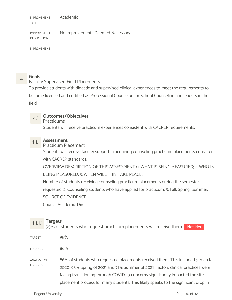IMPROVEMENT TYPE Academic

IMPROVEMENT No Improvements Deemed Necessary DESCRIPTION

IMPROVEMENT

4 Goals Faculty Supervised Field Placements

To provide students with didactic and supervised clinical experiences to meet the requirements to become licensed and certified as Professional Counselors or School Counseling and leaders in the field.

### 4.1 Outcomes/Objectives

Practicums

Students will receive practicum experiences consistent with CACREP requirements.

### 4.1.1 Assessment

### Practicum Placement

Students will receive faculty support in acquiring counseling practicum placements consistent with CACREP standards.

OVERVIEW DESCRIPTION OF THIS ASSESSMENT (1. WHAT IS BEING MEASURED; 2. WHO IS BEING MEASURED; 3. WHEN WILL THIS TAKE PLACE?)

Number of students receiving counseling practicum placements during the semester requested. 2. Counseling students who have applied for practicum. 3. Fall, Spring, Summer.

SOURCE OF EVIDENCE

Count - Academic Direct

 $4.1.1.1$  Targets<br> $4.1.1.1$  Targets 95% of students who request practicum placements will receive them. Not Met

 $\mu_{\rm{R}}$  Target the set of  $95\%$  $86\%$ ANALYSIS OF 86% of students who requested placements received them. This included 91% in fall FINDINGS 2020, 93% Spring of 2021 and 71% Summer of 2021. Factors clinical practices were facing transitioning through COVID-19 concerns significantly impacted the site placement process for many students. This likely speaks to the significant drop in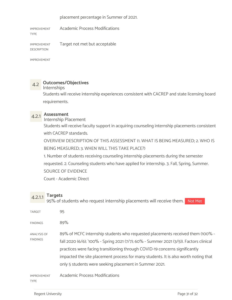placement percentage in Summer of 2021.

IMPROVEMENT Academic Process Modifications

TYPE

IMPROVEMENT Target not met but acceptable DESCRIPTION

IMPROVEMENT

### 4.2 Outcomes/Objectives

### Internships

Students will receive internship experiences consistent with CACREP and state licensing board requirements.

4.2.1 **Assessment**<br>Internship Placement

Students will receive faculty support in acquiring counseling internship placements consistent with CACREP standards.

OVERVIEW DESCRIPTION OF THIS ASSESSMENT (1. WHAT IS BEING MEASURED; 2. WHO IS BEING MEASURED; 3. WHEN WILL THIS TAKE PLACE?)

1. Number of students receiving counseling internship placements during the semester requested. 2. Counseling students who have applied for internship. 3. Fall, Spring, Summer. SOURCE OF EVIDENCE

Count - Academic Direct

4.2.1.1 Targets<br>4.2.1.1 OF% of students who request internaling placements 95% of students who request internship placements will receive them. Not Met

| <b>TARGET</b>                         | 95                                                                                                                                                                                                                                                                                                                                                                                                       |
|---------------------------------------|----------------------------------------------------------------------------------------------------------------------------------------------------------------------------------------------------------------------------------------------------------------------------------------------------------------------------------------------------------------------------------------------------------|
| <b>FINDINGS</b>                       | 89%                                                                                                                                                                                                                                                                                                                                                                                                      |
| <b>ANALYSIS OF</b><br><b>FINDINGS</b> | 89% of MCFC internship students who requested placements received them (100% -<br>fall 2020 (6/6); '100% - Spring 2021 (7/7); 60% - Summer 2021 (3/5)). Factors clinical<br>practices were facing transitioning through COVID-19 concerns significantly<br>impacted the site placement process for many students. It is also worth noting that<br>only 5 students were seeking placement in Summer 2021. |
| <b>IMPROVEMENT</b><br><b>TYPE</b>     | <b>Academic Process Modifications</b>                                                                                                                                                                                                                                                                                                                                                                    |